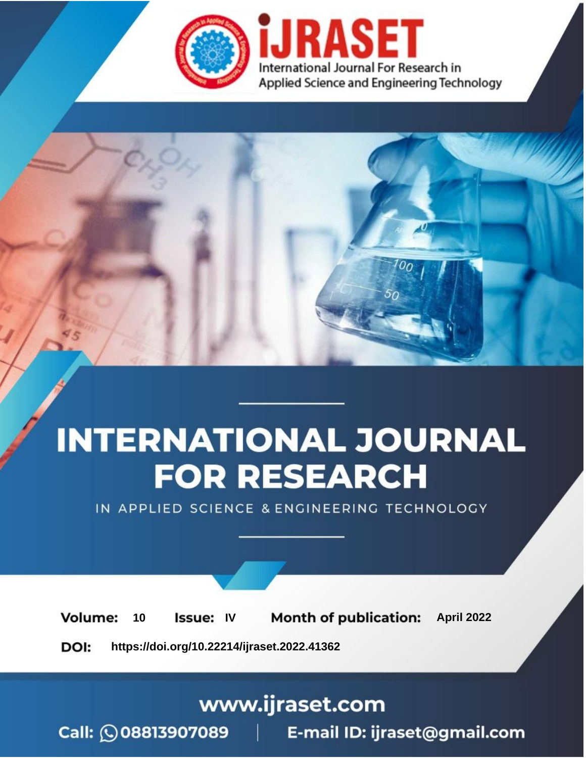

# **INTERNATIONAL JOURNAL FOR RESEARCH**

IN APPLIED SCIENCE & ENGINEERING TECHNOLOGY

10 **Issue: IV Month of publication:** April 2022 **Volume:** 

**https://doi.org/10.22214/ijraset.2022.41362**DOI:

www.ijraset.com

Call: 008813907089 | E-mail ID: ijraset@gmail.com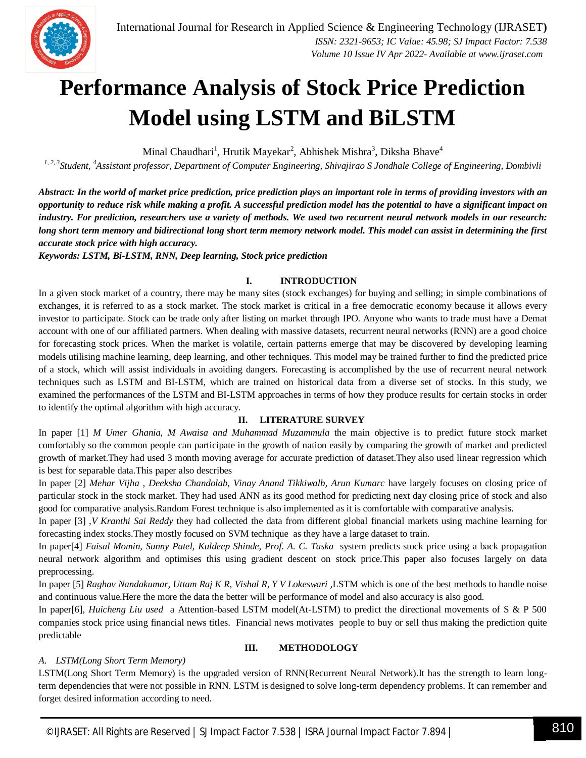### **Performance Analysis of Stock Price Prediction Model using LSTM and BiLSTM**

Minal Chaudhari<sup>1</sup>, Hrutik Mayekar<sup>2</sup>, Abhishek Mishra<sup>3</sup>, Diksha Bhave<sup>4</sup>

*1, 2, 3Student, <sup>4</sup>Assistant professor, Department of Computer Engineering, Shivajirao S Jondhale College of Engineering, Dombivli*

*Abstract: In the world of market price prediction, price prediction plays an important role in terms of providing investors with an opportunity to reduce risk while making a profit. A successful prediction model has the potential to have a significant impact on industry. For prediction, researchers use a variety of methods. We used two recurrent neural network models in our research: long short term memory and bidirectional long short term memory network model. This model can assist in determining the first accurate stock price with high accuracy.*

*Keywords: LSTM, Bi-LSTM, RNN, Deep learning, Stock price prediction*

#### **I. INTRODUCTION**

In a given stock market of a country, there may be many sites (stock exchanges) for buying and selling; in simple combinations of exchanges, it is referred to as a stock market. The stock market is critical in a free democratic economy because it allows every investor to participate. Stock can be trade only after listing on market through IPO. Anyone who wants to trade must have a Demat account with one of our affiliated partners. When dealing with massive datasets, recurrent neural networks (RNN) are a good choice for forecasting stock prices. When the market is volatile, certain patterns emerge that may be discovered by developing learning models utilising machine learning, deep learning, and other techniques. This model may be trained further to find the predicted price of a stock, which will assist individuals in avoiding dangers. Forecasting is accomplished by the use of recurrent neural network techniques such as LSTM and BI-LSTM, which are trained on historical data from a diverse set of stocks. In this study, we examined the performances of the LSTM and BI-LSTM approaches in terms of how they produce results for certain stocks in order to identify the optimal algorithm with high accuracy.

#### **II. LITERATURE SURVEY**

In paper [1] *M Umer Ghania, M Awaisa and Muhammad Muzammula* the main objective is to predict future stock market comfortably so the common people can participate in the growth of nation easily by comparing the growth of market and predicted growth of market.They had used 3 month moving average for accurate prediction of dataset.They also used linear regression which is best for separable data.This paper also describes

In paper [2] *Mehar Vijha , Deeksha Chandolab, Vinay Anand Tikkiwalb, Arun Kumarc* have largely focuses on closing price of particular stock in the stock market. They had used ANN as its good method for predicting next day closing price of stock and also good for comparative analysis.Random Forest technique is also implemented as it is comfortable with comparative analysis.

In paper [3] ,*V Kranthi Sai Reddy* they had collected the data from different global financial markets using machine learning for forecasting index stocks.They mostly focused on SVM technique as they have a large dataset to train.

In paper[4] *Faisal Momin, Sunny Patel, Kuldeep Shinde, Prof. A. C. Taska* system predicts stock price using a back propagation neural network algorithm and optimises this using gradient descent on stock price.This paper also focuses largely on data preprocessing.

In paper [5] *Raghav Nandakumar, Uttam Raj K R, Vishal R, Y V Lokeswari ,*LSTM which is one of the best methods to handle noise and continuous value.Here the more the data the better will be performance of model and also accuracy is also good*.*

In paper[6], *Huicheng Liu used* a Attention-based LSTM model(At-LSTM) to predict the directional movements of S & P 500 companies stock price using financial news titles. Financial news motivates people to buy or sell thus making the prediction quite predictable

### *A. LSTM(Long Short Term Memory)*

#### **III. METHODOLOGY**

LSTM(Long Short Term Memory) is the upgraded version of RNN(Recurrent Neural Network).It has the strength to learn longterm dependencies that were not possible in RNN. LSTM is designed to solve long-term dependency problems. It can remember and forget desired information according to need.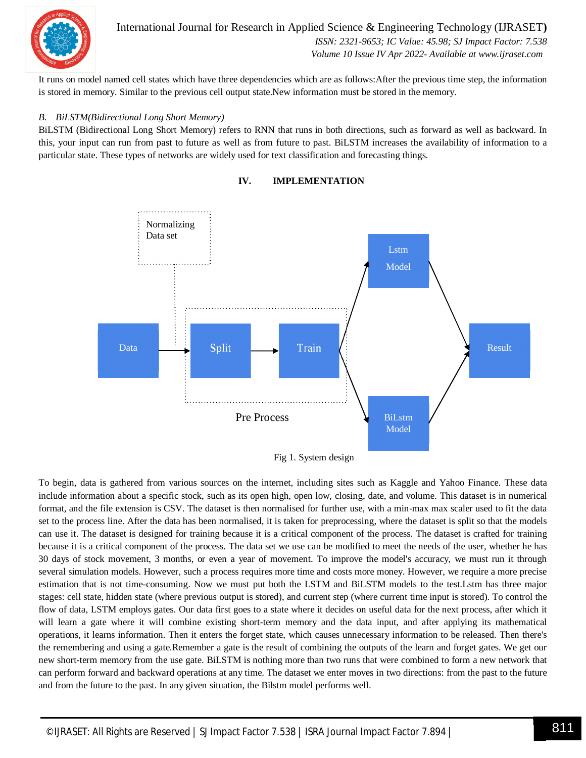

International Journal for Research in Applied Science & Engineering Technology (IJRASET**)**  *ISSN: 2321-9653; IC Value: 45.98; SJ Impact Factor: 7.538 Volume 10 Issue IV Apr 2022- Available at www.ijraset.com*

It runs on model named cell states which have three dependencies which are as follows:After the previous time step, the information is stored in memory. Similar to the previous cell output state.New information must be stored in the memory.

#### *B. BiLSTM(Bidirectional Long Short Memory)*

BiLSTM (Bidirectional Long Short Memory) refers to RNN that runs in both directions, such as forward as well as backward. In this, your input can run from past to future as well as from future to past. BiLSTM increases the availability of information to a particular state. These types of networks are widely used for text classification and forecasting things.



#### **IV. IMPLEMENTATION**

Fig 1. System design

To begin, data is gathered from various sources on the internet, including sites such as Kaggle and Yahoo Finance. These data include information about a specific stock, such as its open high, open low, closing, date, and volume. This dataset is in numerical format, and the file extension is CSV. The dataset is then normalised for further use, with a min-max max scaler used to fit the data set to the process line. After the data has been normalised, it is taken for preprocessing, where the dataset is split so that the models can use it. The dataset is designed for training because it is a critical component of the process. The dataset is crafted for training because it is a critical component of the process. The data set we use can be modified to meet the needs of the user, whether he has 30 days of stock movement, 3 months, or even a year of movement. To improve the model's accuracy, we must run it through several simulation models. However, such a process requires more time and costs more money. However, we require a more precise estimation that is not time-consuming. Now we must put both the LSTM and BiLSTM models to the test.Lstm has three major stages: cell state, hidden state (where previous output is stored), and current step (where current time input is stored). To control the flow of data, LSTM employs gates. Our data first goes to a state where it decides on useful data for the next process, after which it will learn a gate where it will combine existing short-term memory and the data input, and after applying its mathematical operations, it learns information. Then it enters the forget state, which causes unnecessary information to be released. Then there's the remembering and using a gate.Remember a gate is the result of combining the outputs of the learn and forget gates. We get our new short-term memory from the use gate. BiLSTM is nothing more than two runs that were combined to form a new network that can perform forward and backward operations at any time. The dataset we enter moves in two directions: from the past to the future and from the future to the past. In any given situation, the Bilstm model performs well.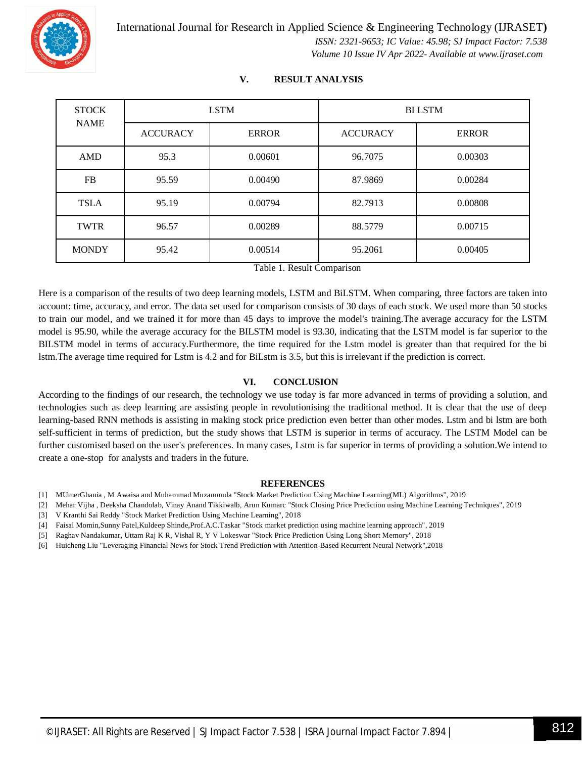

| <b>STOCK</b><br><b>NAME</b> | <b>LSTM</b>     |              | <b>BILSTM</b>   |              |
|-----------------------------|-----------------|--------------|-----------------|--------------|
|                             | <b>ACCURACY</b> | <b>ERROR</b> | <b>ACCURACY</b> | <b>ERROR</b> |
| AMD                         | 95.3            | 0.00601      | 96.7075         | 0.00303      |
| <b>FB</b>                   | 95.59           | 0.00490      | 87.9869         | 0.00284      |
| <b>TSLA</b>                 | 95.19           | 0.00794      | 82.7913         | 0.00808      |
| <b>TWTR</b>                 | 96.57           | 0.00289      | 88.5779         | 0.00715      |
| <b>MONDY</b>                | 95.42           | 0.00514      | 95.2061         | 0.00405      |

#### **V. RESULT ANALYSIS**

Table 1. Result Comparison

Here is a comparison of the results of two deep learning models, LSTM and BiLSTM. When comparing, three factors are taken into account: time, accuracy, and error. The data set used for comparison consists of 30 days of each stock. We used more than 50 stocks to train our model, and we trained it for more than 45 days to improve the model's training.The average accuracy for the LSTM model is 95.90, while the average accuracy for the BILSTM model is 93.30, indicating that the LSTM model is far superior to the BILSTM model in terms of accuracy.Furthermore, the time required for the Lstm model is greater than that required for the bi lstm.The average time required for Lstm is 4.2 and for BiLstm is 3.5, but this is irrelevant if the prediction is correct.

#### **VI. CONCLUSION**

According to the findings of our research, the technology we use today is far more advanced in terms of providing a solution, and technologies such as deep learning are assisting people in revolutionising the traditional method. It is clear that the use of deep learning-based RNN methods is assisting in making stock price prediction even better than other modes. Lstm and bi lstm are both self-sufficient in terms of prediction, but the study shows that LSTM is superior in terms of accuracy. The LSTM Model can be further customised based on the user's preferences. In many cases, Lstm is far superior in terms of providing a solution.We intend to create a one-stop for analysts and traders in the future.

#### **REFERENCES**

- [1] MUmerGhania , M Awaisa and Muhammad Muzammula "Stock Market Prediction Using Machine Learning(ML) Algorithms", 2019
- [2] Mehar Vijha , Deeksha Chandolab, Vinay Anand Tikkiwalb, Arun Kumarc "Stock Closing Price Prediction using Machine Learning Techniques", 2019
- [3] V Kranthi Sai Reddy "Stock Market Prediction Using Machine Learning", 2018
- [4] Faisal Momin,Sunny Patel,Kuldeep Shinde,Prof.A.C.Taskar "Stock market prediction using machine learning approach", 2019
- [5] Raghav Nandakumar, Uttam Raj K R, Vishal R, Y V Lokeswar "Stock Price Prediction Using Long Short Memory", 2018
- [6] Huicheng Liu "Leveraging Financial News for Stock Trend Prediction with Attention-Based Recurrent Neural Network",2018